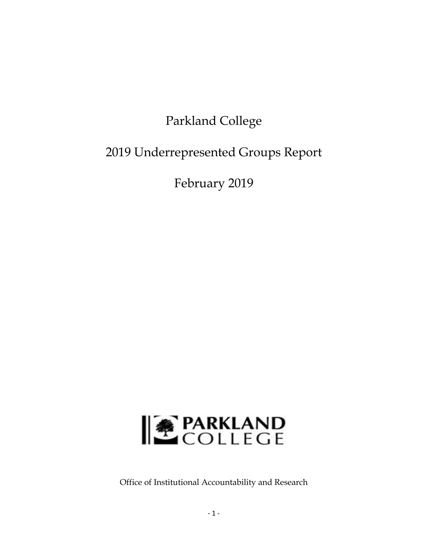# Parkland College

# 2019 Underrepresented Groups Report

February 2019



Office of Institutional Accountability and Research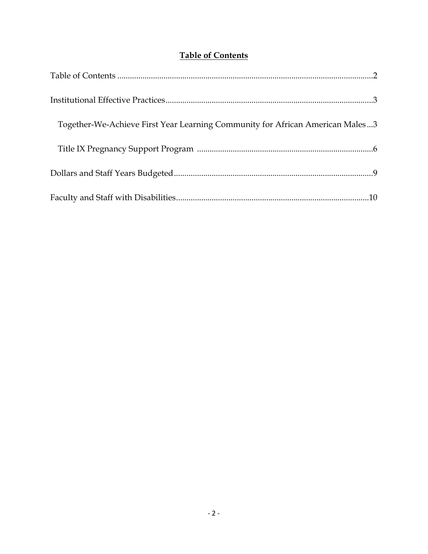# **Table of Contents**

| Together-We-Achieve First Year Learning Community for African American Males3 |
|-------------------------------------------------------------------------------|
|                                                                               |
|                                                                               |
|                                                                               |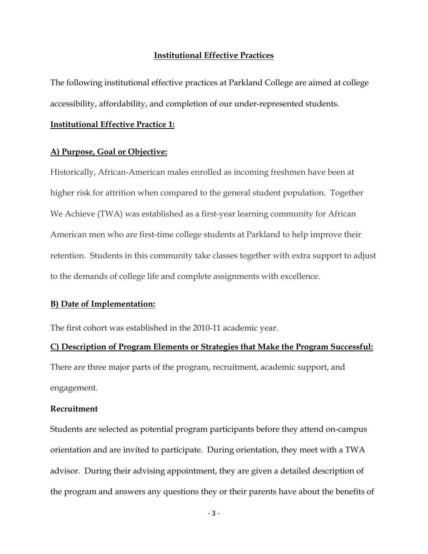# **Institutional Effective Practices**

The following institutional effective practices at Parkland College are aimed at college accessibility, affordability, and completion of our under-represented students.

#### **Institutional Effective Practice 1:**

#### **A) Purpose, Goal or Objective:**

Historically, African-American males enrolled as incoming freshmen have been at higher risk for attrition when compared to the general student population. Together We Achieve (TWA) was established as a first-year learning community for African American men who are first-time college students at Parkland to help improve their retention. Students in this community take classes together with extra support to adjust to the demands of college life and complete assignments with excellence.

# **B) Date of Implementation:**

The first cohort was established in the 2010-11 academic year.

# **C) Description of Program Elements or Strategies that Make the Program Successful:**

There are three major parts of the program, recruitment, academic support, and engagement.

# **Recruitment**

Students are selected as potential program participants before they attend on-campus orientation and are invited to participate. During orientation, they meet with a TWA advisor. During their advising appointment, they are given a detailed description of the program and answers any questions they or their parents have about the benefits of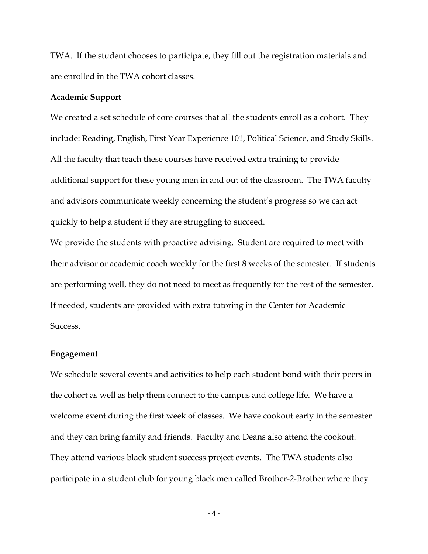TWA. If the student chooses to participate, they fill out the registration materials and are enrolled in the TWA cohort classes.

#### **Academic Support**

We created a set schedule of core courses that all the students enroll as a cohort. They include: Reading, English, First Year Experience 101, Political Science, and Study Skills. All the faculty that teach these courses have received extra training to provide additional support for these young men in and out of the classroom. The TWA faculty and advisors communicate weekly concerning the student's progress so we can act quickly to help a student if they are struggling to succeed.

We provide the students with proactive advising. Student are required to meet with their advisor or academic coach weekly for the first 8 weeks of the semester. If students are performing well, they do not need to meet as frequently for the rest of the semester. If needed, students are provided with extra tutoring in the Center for Academic Success.

### **Engagement**

We schedule several events and activities to help each student bond with their peers in the cohort as well as help them connect to the campus and college life. We have a welcome event during the first week of classes. We have cookout early in the semester and they can bring family and friends. Faculty and Deans also attend the cookout. They attend various black student success project events. The TWA students also participate in a student club for young black men called Brother-2-Brother where they

 $-4-$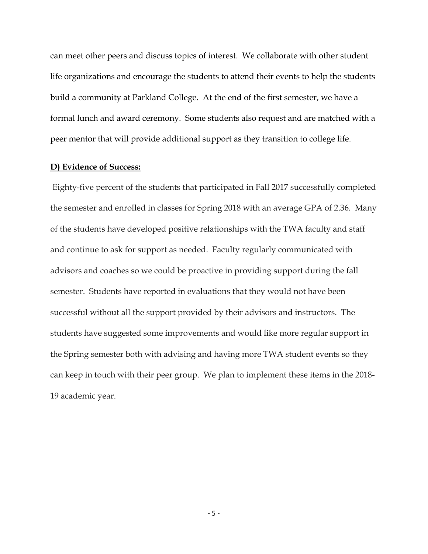can meet other peers and discuss topics of interest. We collaborate with other student life organizations and encourage the students to attend their events to help the students build a community at Parkland College. At the end of the first semester, we have a formal lunch and award ceremony. Some students also request and are matched with a peer mentor that will provide additional support as they transition to college life.

# **D) Evidence of Success:**

 Eighty-five percent of the students that participated in Fall 2017 successfully completed the semester and enrolled in classes for Spring 2018 with an average GPA of 2.36. Many of the students have developed positive relationships with the TWA faculty and staff and continue to ask for support as needed. Faculty regularly communicated with advisors and coaches so we could be proactive in providing support during the fall semester. Students have reported in evaluations that they would not have been successful without all the support provided by their advisors and instructors. The students have suggested some improvements and would like more regular support in the Spring semester both with advising and having more TWA student events so they can keep in touch with their peer group. We plan to implement these items in the 2018- 19 academic year.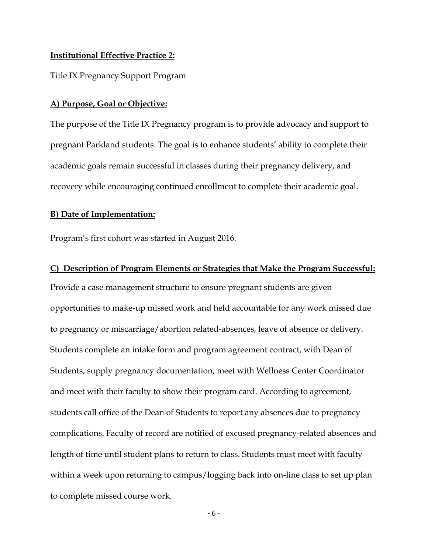#### **Institutional Effective Practice 2:**

Title IX Pregnancy Support Program

# **A) Purpose, Goal or Objective:**

The purpose of the Title IX Pregnancy program is to provide advocacy and support to pregnant Parkland students. The goal is to enhance students' ability to complete their academic goals remain successful in classes during their pregnancy delivery, and recovery while encouraging continued enrollment to complete their academic goal.

#### **B) Date of Implementation:**

Program's first cohort was started in August 2016.

# **C) Description of Program Elements or Strategies that Make the Program Successful:**

Provide a case management structure to ensure pregnant students are given opportunities to make-up missed work and held accountable for any work missed due to pregnancy or miscarriage/abortion related-absences, leave of absence or delivery. Students complete an intake form and program agreement contract, with Dean of Students, supply pregnancy documentation, meet with Wellness Center Coordinator and meet with their faculty to show their program card. According to agreement, students call office of the Dean of Students to report any absences due to pregnancy complications. Faculty of record are notified of excused pregnancy-related absences and length of time until student plans to return to class. Students must meet with faculty within a week upon returning to campus/logging back into on-line class to set up plan to complete missed course work.

 $-6-$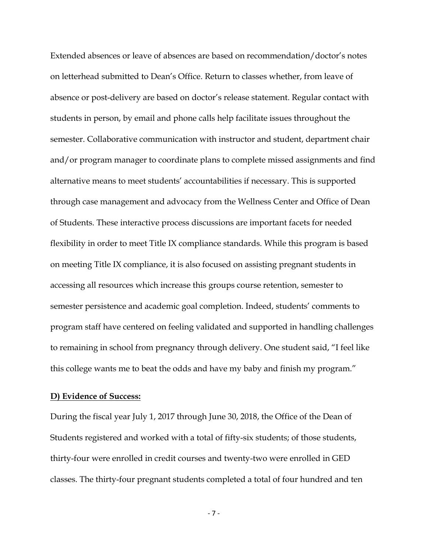Extended absences or leave of absences are based on recommendation/doctor's notes on letterhead submitted to Dean's Office. Return to classes whether, from leave of absence or post-delivery are based on doctor's release statement. Regular contact with students in person, by email and phone calls help facilitate issues throughout the semester. Collaborative communication with instructor and student, department chair and/or program manager to coordinate plans to complete missed assignments and find alternative means to meet students' accountabilities if necessary. This is supported through case management and advocacy from the Wellness Center and Office of Dean of Students. These interactive process discussions are important facets for needed flexibility in order to meet Title IX compliance standards. While this program is based on meeting Title IX compliance, it is also focused on assisting pregnant students in accessing all resources which increase this groups course retention, semester to semester persistence and academic goal completion. Indeed, students' comments to program staff have centered on feeling validated and supported in handling challenges to remaining in school from pregnancy through delivery. One student said, "I feel like this college wants me to beat the odds and have my baby and finish my program."

# **D) Evidence of Success:**

During the fiscal year July 1, 2017 through June 30, 2018, the Office of the Dean of Students registered and worked with a total of fifty-six students; of those students, thirty-four were enrolled in credit courses and twenty-two were enrolled in GED classes. The thirty-four pregnant students completed a total of four hundred and ten

 $-7$  –  $-7$  –